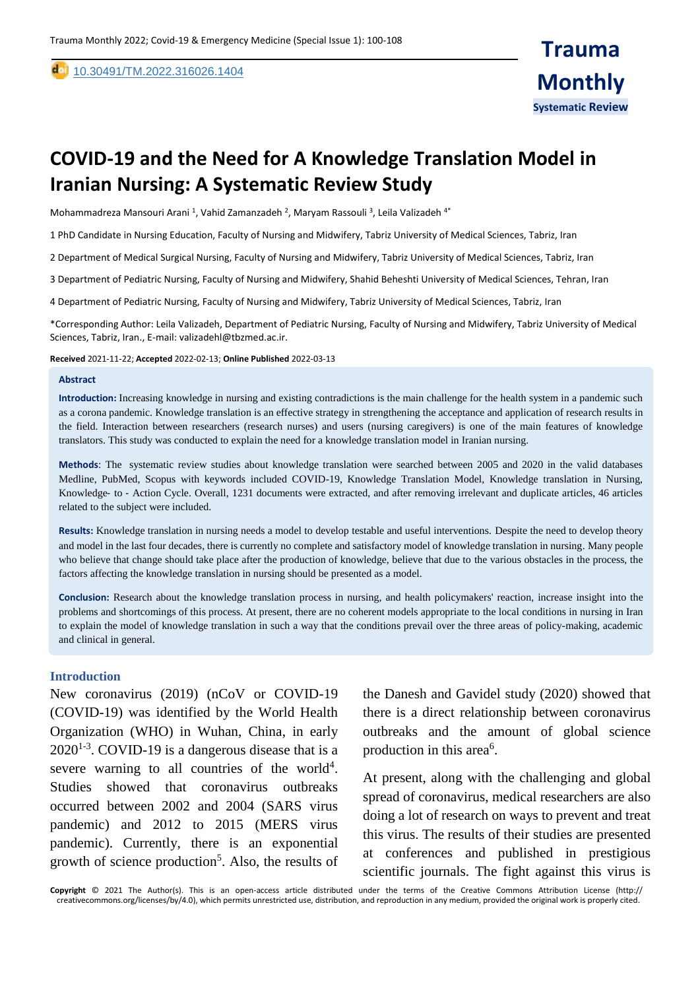[10.30491/TM.2022.316026.1404](https://dx.doi.org/10.30491/tm.2021.264991.1218) 

# **COVID-19 and the Need for A Knowledge Translation Model in Iranian Nursing: A Systematic Review Study**

Mohammadreza Mansouri Arani <sup>1</sup>, Vahid Zamanzadeh <sup>2</sup>, Maryam Rassouli <sup>3</sup>, Leila Valizadeh <sup>4\*</sup>

1 PhD Candidate in Nursing Education, Faculty of Nursing and Midwifery, Tabriz University of Medical Sciences, Tabriz, Iran

2 Department of Medical Surgical Nursing, Faculty of Nursing and Midwifery, Tabriz University of Medical Sciences, Tabriz, Iran

3 Department of Pediatric Nursing, Faculty of Nursing and Midwifery, Shahid Beheshti University of Medical Sciences, Tehran, Iran

4 Department of Pediatric Nursing, Faculty of Nursing and Midwifery, Tabriz University of Medical Sciences, Tabriz, Iran

\*Corresponding Author: Leila Valizadeh, Department of Pediatric Nursing, Faculty of Nursing and Midwifery, Tabriz University of Medical Sciences, Tabriz, Iran., E-mail: valizadehl@tbzmed.ac.ir.

**Received** 2021-11-22; **Accepted** 2022-02-13; **Online Published** 2022-03-13

#### **Abstract**

,

**Introduction:** Increasing knowledge in nursing and existing contradictions is the main challenge for the health system in a pandemic such as a corona pandemic. Knowledge translation is an effective strategy in strengthening the acceptance and application of research results in the field. Interaction between researchers (research nurses) and users (nursing caregivers) is one of the main features of knowledge translators. This study was conducted to explain the need for a knowledge translation model in Iranian nursing.

**Methods**: The systematic review studies about knowledge translation were searched between 2005 and 2020 in the valid databases Medline, PubMed, Scopus with keywords included COVID-19, Knowledge Translation Model, Knowledge translation in Nursing, Knowledge- to - Action Cycle. Overall, 1231 documents were extracted, and after removing irrelevant and duplicate articles, 46 articles related to the subject were included.

**Results:** Knowledge translation in nursing needs a model to develop testable and useful interventions. Despite the need to develop theory and model in the last four decades, there is currently no complete and satisfactory model of knowledge translation in nursing. Many people who believe that change should take place after the production of knowledge, believe that due to the various obstacles in the process, the factors affecting the knowledge translation in nursing should be presented as a model.

**Conclusion:** Research about the knowledge translation process in nursing, and health policymakers' reaction, increase insight into the problems and shortcomings of this process. At present, there are no coherent models appropriate to the local conditions in nursing in Iran to explain the model of knowledge translation in such a way that the conditions prevail over the three areas of policy-making, academic and clinical in general.

## **Introduction**

New coronavirus (2019) (nCoV or COVID-19 (COVID-19) was identified by the World Health Organization (WHO) in Wuhan, China, in early  $2020^{1-3}$ . COVID-19 is a dangerous disease that is a severe warning to all countries of the world<sup>4</sup>. Studies showed that coronavirus outbreaks occurred between 2002 and 2004 (SARS virus pandemic) and 2012 to 2015 (MERS virus pandemic). Currently, there is an exponential growth of science production<sup>5</sup>. Also, the results of the Danesh and Gavidel study (2020) showed that there is a direct relationship between coronavirus outbreaks and the amount of global science production in this area<sup>6</sup>.

At present, along with the challenging and global spread of coronavirus, medical researchers are also doing a lot of research on ways to prevent and treat this virus. The results of their studies are presented at conferences and published in prestigious scientific journals. The fight against this virus is

**Copyright** © 2021 The Author(s). This is an open-access article distributed under the terms of the Creative Commons Attribution License (http:// creativecommons.org/licenses/by/4.0), which permits unrestricted use, distribution, and reproduction in any medium, provided the original work is properly cited.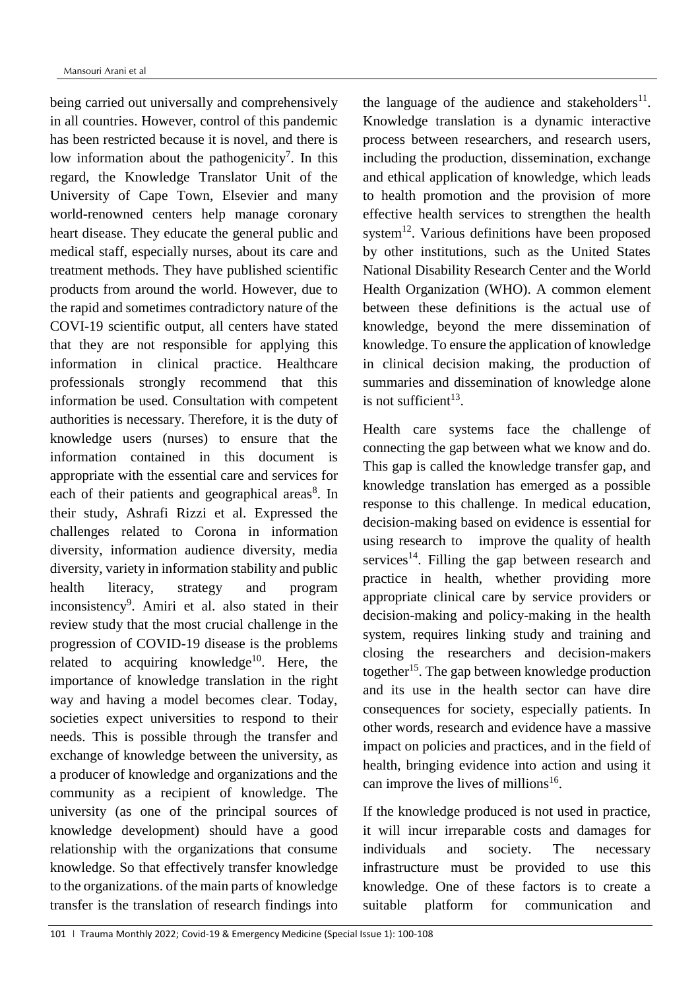being carried out universally and comprehensively in all countries. However, control of this pandemic has been restricted because it is novel, and there is low information about the pathogenicity<sup>7</sup>. In this regard, the Knowledge Translator Unit of the University of Cape Town, Elsevier and many world-renowned centers help manage coronary heart disease. They educate the general public and medical staff, especially nurses, about its care and treatment methods. They have published scientific products from around the world. However, due to the rapid and sometimes contradictory nature of the COVI-19 scientific output, all centers have stated that they are not responsible for applying this information in clinical practice. Healthcare professionals strongly recommend that this information be used. Consultation with competent authorities is necessary. Therefore, it is the duty of knowledge users (nurses) to ensure that the information contained in this document is appropriate with the essential care and services for each of their patients and geographical areas<sup>8</sup>. In their study, Ashrafi Rizzi et al. Expressed the challenges related to Corona in information diversity, information audience diversity, media diversity, variety in information stability and public health literacy, strategy and program inconsistency<sup>9</sup>. Amiri et al. also stated in their review study that the most crucial challenge in the progression of COVID-19 disease is the problems related to acquiring knowledge<sup>10</sup>. Here, the importance of knowledge translation in the right way and having a model becomes clear. Today, societies expect universities to respond to their needs. This is possible through the transfer and exchange of knowledge between the university, as a producer of knowledge and organizations and the community as a recipient of knowledge. The university (as one of the principal sources of knowledge development) should have a good relationship with the organizations that consume knowledge. So that effectively transfer knowledge to the organizations. of the main parts of knowledge transfer is the translation of research findings into

the language of the audience and stakeholders $^{11}$ . Knowledge translation is a dynamic interactive process between researchers, and research users, including the production, dissemination, exchange and ethical application of knowledge, which leads to health promotion and the provision of more effective health services to strengthen the health system<sup>12</sup>. Various definitions have been proposed by other institutions, such as the United States National Disability Research Center and the World Health Organization (WHO). A common element between these definitions is the actual use of knowledge, beyond the mere dissemination of knowledge. To ensure the application of knowledge in clinical decision making, the production of summaries and dissemination of knowledge alone is not sufficient $13$ .

Health care systems face the challenge of connecting the gap between what we know and do. This gap is called the knowledge transfer gap, and knowledge translation has emerged as a possible response to this challenge. In medical education, decision-making based on evidence is essential for using research to improve the quality of health services<sup>14</sup>. Filling the gap between research and practice in health, whether providing more appropriate clinical care by service providers or decision-making and policy-making in the health system, requires linking study and training and closing the researchers and decision-makers together<sup>15</sup>. The gap between knowledge production and its use in the health sector can have dire consequences for society, especially patients. In other words, research and evidence have a massive impact on policies and practices, and in the field of health, bringing evidence into action and using it can improve the lives of millions<sup>16</sup>.

If the knowledge produced is not used in practice, it will incur irreparable costs and damages for individuals and society. The necessary infrastructure must be provided to use this knowledge. One of these factors is to create a suitable platform for communication and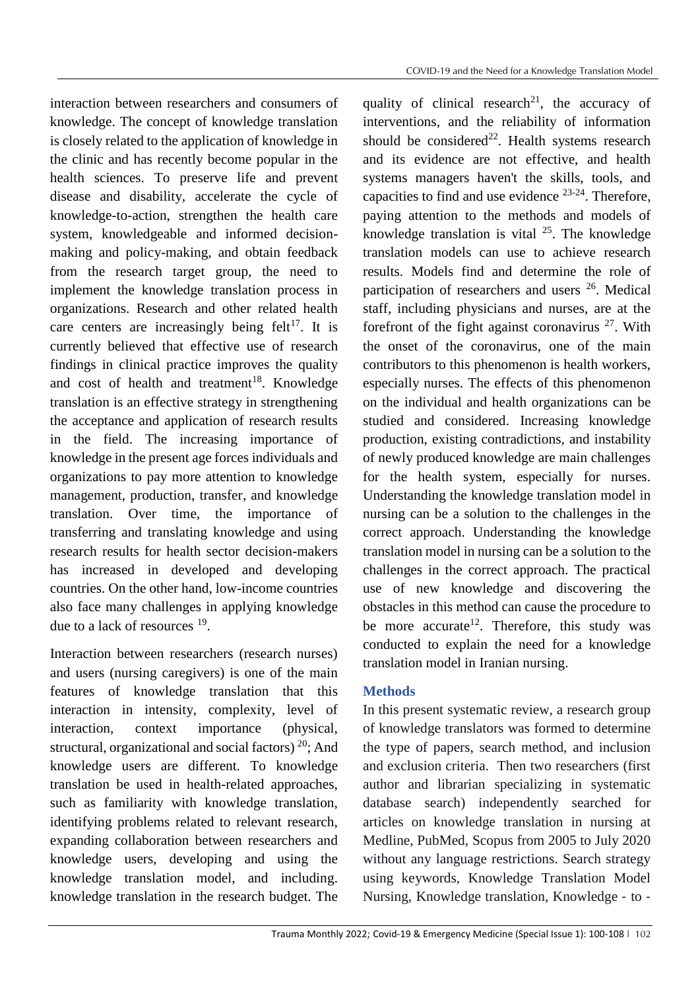interaction between researchers and consumers of knowledge. The concept of knowledge translation is closely related to the application of knowledge in the clinic and has recently become popular in the health sciences. To preserve life and prevent disease and disability, accelerate the cycle of knowledge-to-action, strengthen the health care system, knowledgeable and informed decisionmaking and policy-making, and obtain feedback from the research target group, the need to implement the knowledge translation process in organizations. Research and other related health care centers are increasingly being  $felt^{17}$ . It is currently believed that effective use of research findings in clinical practice improves the quality and cost of health and treatment<sup>18</sup>. Knowledge translation is an effective strategy in strengthening the acceptance and application of research results in the field. The increasing importance of knowledge in the present age forces individuals and organizations to pay more attention to knowledge management, production, transfer, and knowledge translation. Over time, the importance of transferring and translating knowledge and using research results for health sector decision-makers has increased in developed and developing countries. On the other hand, low-income countries also face many challenges in applying knowledge due to a lack of resources <sup>19</sup>.

Interaction between researchers (research nurses) and users (nursing caregivers) is one of the main features of knowledge translation that this interaction in intensity, complexity, level of interaction, context importance (physical, structural, organizational and social factors)<sup>20</sup>; And knowledge users are different. To knowledge translation be used in health-related approaches, such as familiarity with knowledge translation, identifying problems related to relevant research, expanding collaboration between researchers and knowledge users, developing and using the knowledge translation model, and including. knowledge translation in the research budget. The

quality of clinical research<sup>21</sup>, the accuracy of interventions, and the reliability of information should be considered<sup>22</sup>. Health systems research and its evidence are not effective, and health systems managers haven't the skills, tools, and capacities to find and use evidence  $23-24$ . Therefore, paying attention to the methods and models of knowledge translation is vital  $^{25}$ . The knowledge translation models can use to achieve research results. Models find and determine the role of participation of researchers and users <sup>26</sup>. Medical staff, including physicians and nurses, are at the forefront of the fight against coronavirus  $27$ . With the onset of the coronavirus, one of the main contributors to this phenomenon is health workers, especially nurses. The effects of this phenomenon on the individual and health organizations can be studied and considered. Increasing knowledge production, existing contradictions, and instability of newly produced knowledge are main challenges for the health system, especially for nurses. Understanding the knowledge translation model in nursing can be a solution to the challenges in the correct approach. Understanding the knowledge translation model in nursing can be a solution to the challenges in the correct approach. The practical use of new knowledge and discovering the obstacles in this method can cause the procedure to be more accurate<sup>12</sup>. Therefore, this study was conducted to explain the need for a knowledge translation model in Iranian nursing.

# **Methods**

In this present systematic review, a research group of knowledge translators was formed to determine the type of papers, search method, and inclusion and exclusion criteria. Then two researchers (first author and librarian specializing in systematic database search) independently searched for articles on knowledge translation in nursing at Medline, PubMed, Scopus from 2005 to July 2020 without any language restrictions. Search strategy using keywords, Knowledge Translation Model Nursing, Knowledge translation, Knowledge ‐ to ‐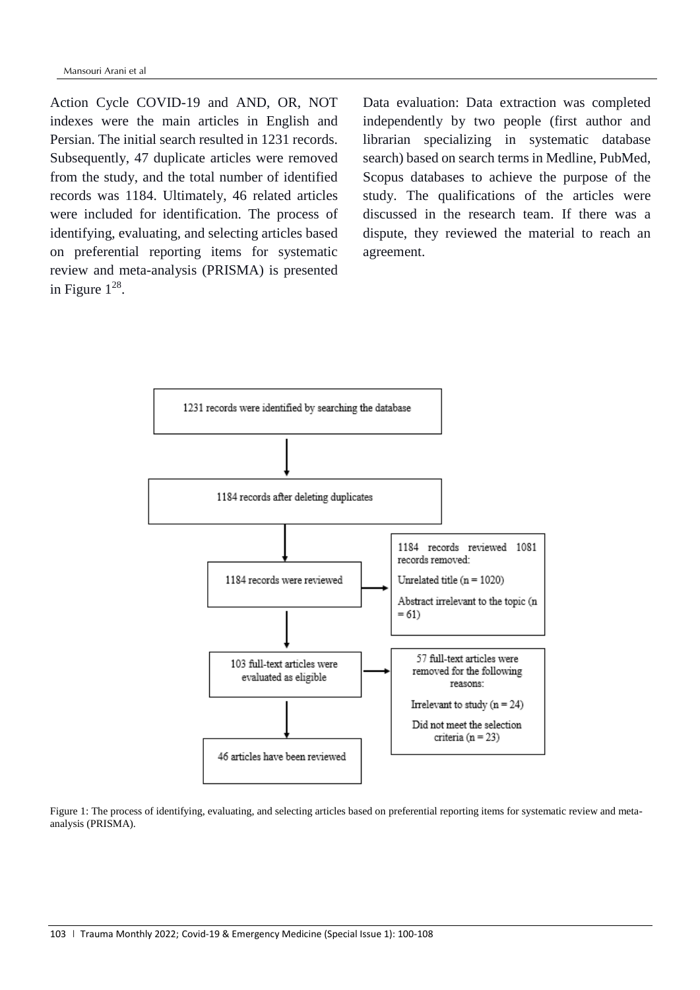Action Cycle COVID-19 and AND, OR, NOT indexes were the main articles in English and Persian. The initial search resulted in 1231 records. Subsequently, 47 duplicate articles were removed from the study, and the total number of identified records was 1184. Ultimately, 46 related articles were included for identification. The process of identifying, evaluating, and selecting articles based on preferential reporting items for systematic review and meta-analysis (PRISMA) is presented in Figure  $1^{28}$ .

Data evaluation: Data extraction was completed independently by two people (first author and librarian specializing in systematic database search) based on search terms in Medline, PubMed, Scopus databases to achieve the purpose of the study. The qualifications of the articles were discussed in the research team. If there was a dispute, they reviewed the material to reach an agreement.



Figure 1: The process of identifying, evaluating, and selecting articles based on preferential reporting items for systematic review and metaanalysis (PRISMA).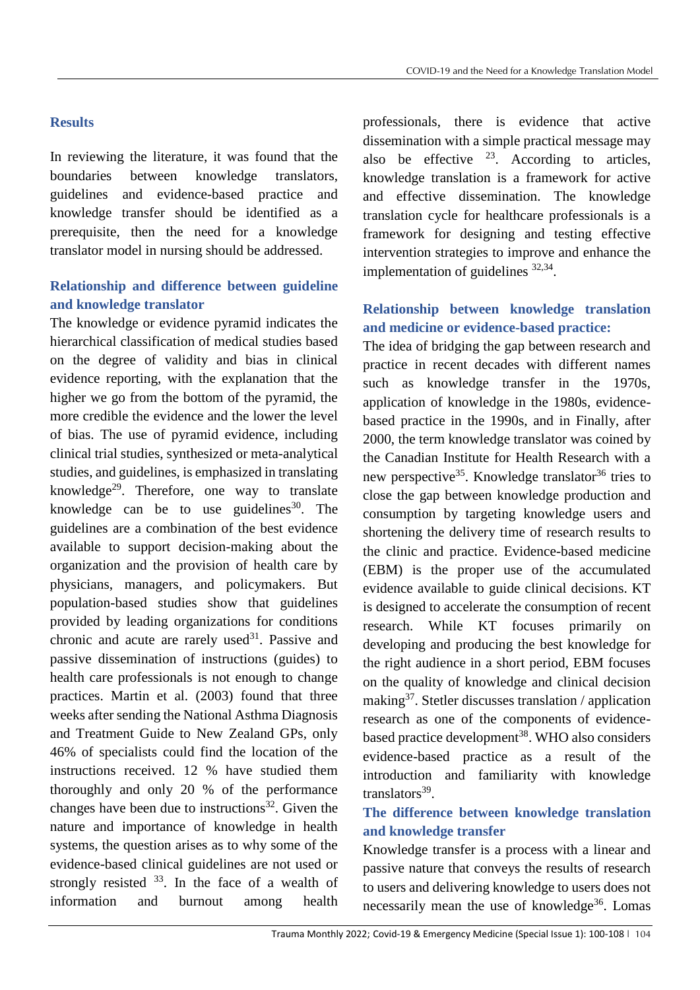# **Results**

In reviewing the literature, it was found that the boundaries between knowledge translators, guidelines and evidence-based practice and knowledge transfer should be identified as a prerequisite, then the need for a knowledge translator model in nursing should be addressed.

# **Relationship and difference between guideline and knowledge translator**

The knowledge or evidence pyramid indicates the hierarchical classification of medical studies based on the degree of validity and bias in clinical evidence reporting, with the explanation that the higher we go from the bottom of the pyramid, the more credible the evidence and the lower the level of bias. The use of pyramid evidence, including clinical trial studies, synthesized or meta-analytical studies, and guidelines, is emphasized in translating knowledge<sup>29</sup>. Therefore, one way to translate knowledge can be to use guidelines<sup>30</sup>. The guidelines are a combination of the best evidence available to support decision-making about the organization and the provision of health care by physicians, managers, and policymakers. But population-based studies show that guidelines provided by leading organizations for conditions chronic and acute are rarely used $31$ . Passive and passive dissemination of instructions (guides) to health care professionals is not enough to change practices. Martin et al. (2003) found that three weeks after sending the National Asthma Diagnosis and Treatment Guide to New Zealand GPs, only 46% of specialists could find the location of the instructions received. 12 % have studied them thoroughly and only 20 % of the performance changes have been due to instructions<sup>32</sup>. Given the nature and importance of knowledge in health systems, the question arises as to why some of the evidence-based clinical guidelines are not used or strongly resisted  $33$ . In the face of a wealth of information and burnout among health professionals, there is evidence that active dissemination with a simple practical message may also be effective  $23$ . According to articles, knowledge translation is a framework for active and effective dissemination. The knowledge translation cycle for healthcare professionals is a framework for designing and testing effective intervention strategies to improve and enhance the implementation of guidelines  $32,34$ .

# **Relationship between knowledge translation and medicine or evidence-based practice:**

The idea of bridging the gap between research and practice in recent decades with different names such as knowledge transfer in the 1970s, application of knowledge in the 1980s, evidencebased practice in the 1990s, and in Finally, after 2000, the term knowledge translator was coined by the Canadian Institute for Health Research with a new perspective<sup>35</sup>. Knowledge translator<sup>36</sup> tries to close the gap between knowledge production and consumption by targeting knowledge users and shortening the delivery time of research results to the clinic and practice. Evidence-based medicine (EBM) is the proper use of the accumulated evidence available to guide clinical decisions. KT is designed to accelerate the consumption of recent research. While KT focuses primarily on developing and producing the best knowledge for the right audience in a short period, EBM focuses on the quality of knowledge and clinical decision making<sup>37</sup>. Stetler discusses translation / application research as one of the components of evidencebased practice development<sup>38</sup>. WHO also considers evidence-based practice as a result of the introduction and familiarity with knowledge  $translators<sup>39</sup>$ .

# **The difference between knowledge translation and knowledge transfer**

Knowledge transfer is a process with a linear and passive nature that conveys the results of research to users and delivering knowledge to users does not necessarily mean the use of knowledge<sup>36</sup>. Lomas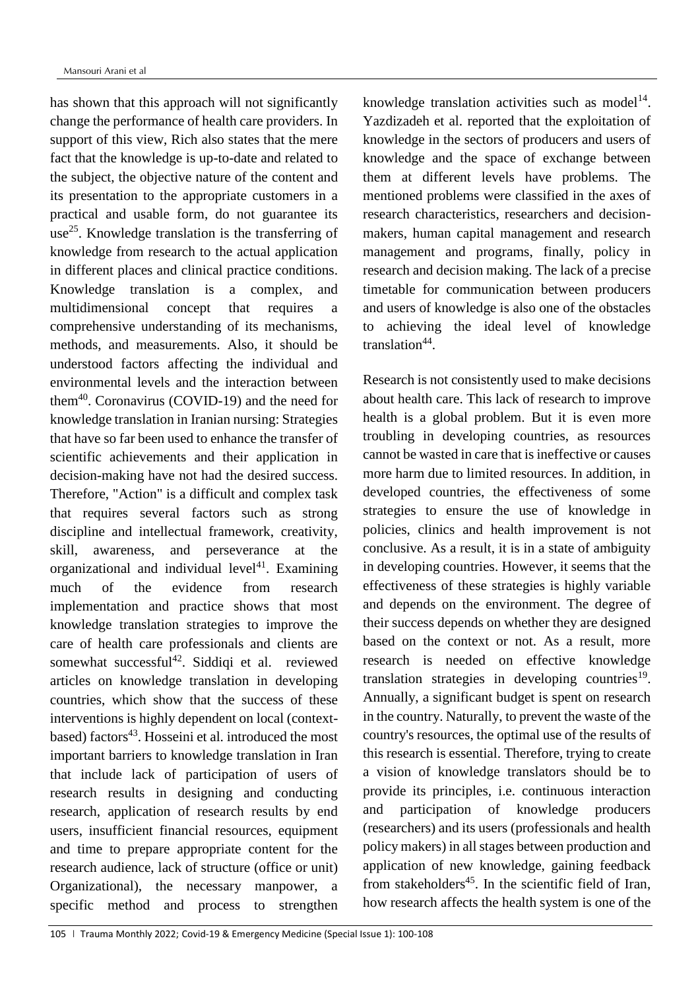has shown that this approach will not significantly change the performance of health care providers. In support of this view, Rich also states that the mere fact that the knowledge is up-to-date and related to the subject, the objective nature of the content and its presentation to the appropriate customers in a practical and usable form, do not guarantee its use<sup>25</sup>. Knowledge translation is the transferring of knowledge from research to the actual application in different places and clinical practice conditions. Knowledge translation is a complex, and multidimensional concept that requires a comprehensive understanding of its mechanisms, methods, and measurements. Also, it should be understood factors affecting the individual and environmental levels and the interaction between them<sup>40</sup>. Coronavirus (COVID-19) and the need for knowledge translation in Iranian nursing: Strategies that have so far been used to enhance the transfer of scientific achievements and their application in decision-making have not had the desired success. Therefore, "Action" is a difficult and complex task that requires several factors such as strong discipline and intellectual framework, creativity, skill, awareness, and perseverance at the organizational and individual level<sup>41</sup>. Examining much of the evidence from research implementation and practice shows that most knowledge translation strategies to improve the care of health care professionals and clients are somewhat successful<sup>42</sup>. Siddiqi et al. reviewed articles on knowledge translation in developing countries, which show that the success of these interventions is highly dependent on local (contextbased) factors<sup>43</sup>. Hosseini et al. introduced the most important barriers to knowledge translation in Iran that include lack of participation of users of research results in designing and conducting research, application of research results by end users, insufficient financial resources, equipment and time to prepare appropriate content for the research audience, lack of structure (office or unit) Organizational), the necessary manpower, a specific method and process to strengthen

knowledge translation activities such as model $14$ . Yazdizadeh et al. reported that the exploitation of knowledge in the sectors of producers and users of knowledge and the space of exchange between them at different levels have problems. The mentioned problems were classified in the axes of research characteristics, researchers and decisionmakers, human capital management and research management and programs, finally, policy in research and decision making. The lack of a precise timetable for communication between producers and users of knowledge is also one of the obstacles to achieving the ideal level of knowledge translation<sup>44</sup>.

Research is not consistently used to make decisions about health care. This lack of research to improve health is a global problem. But it is even more troubling in developing countries, as resources cannot be wasted in care that is ineffective or causes more harm due to limited resources. In addition, in developed countries, the effectiveness of some strategies to ensure the use of knowledge in policies, clinics and health improvement is not conclusive. As a result, it is in a state of ambiguity in developing countries. However, it seems that the effectiveness of these strategies is highly variable and depends on the environment. The degree of their success depends on whether they are designed based on the context or not. As a result, more research is needed on effective knowledge translation strategies in developing countries<sup>19</sup>. Annually, a significant budget is spent on research in the country. Naturally, to prevent the waste of the country's resources, the optimal use of the results of this research is essential. Therefore, trying to create a vision of knowledge translators should be to provide its principles, i.e. continuous interaction and participation of knowledge producers (researchers) and its users (professionals and health policy makers) in all stages between production and application of new knowledge, gaining feedback from stakeholders<sup>45</sup>. In the scientific field of Iran, how research affects the health system is one of the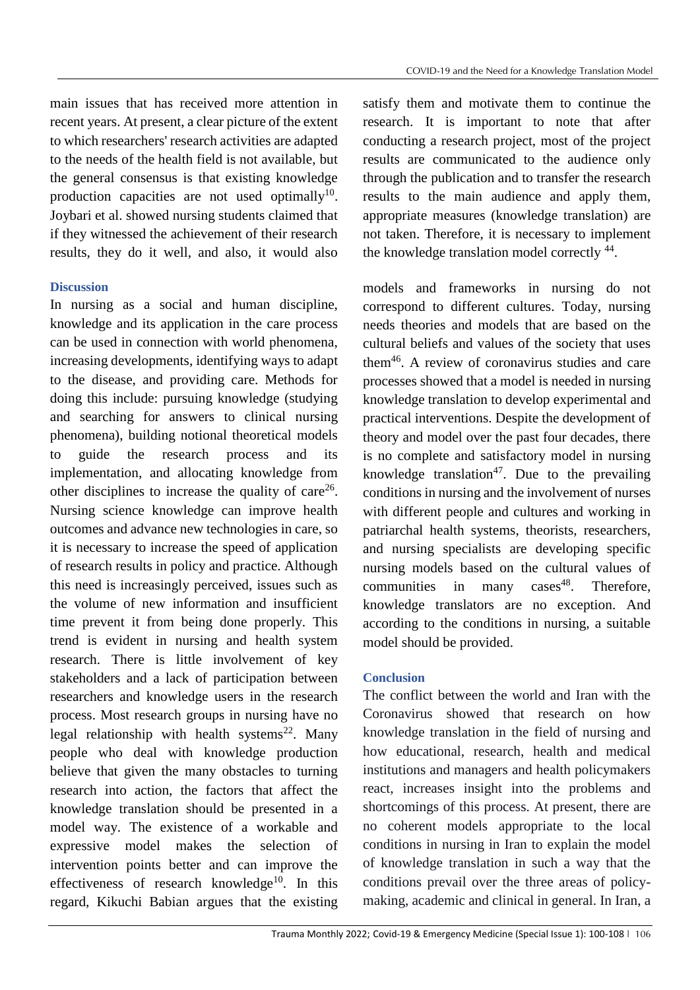main issues that has received more attention in recent years. At present, a clear picture of the extent to which researchers' research activities are adapted to the needs of the health field is not available, but the general consensus is that existing knowledge production capacities are not used optimally<sup>10</sup>. Joybari et al. showed nursing students claimed that if they witnessed the achievement of their research results, they do it well, and also, it would also

## **Discussion**

In nursing as a social and human discipline, knowledge and its application in the care process can be used in connection with world phenomena, increasing developments, identifying ways to adapt to the disease, and providing care. Methods for doing this include: pursuing knowledge (studying and searching for answers to clinical nursing phenomena), building notional theoretical models to guide the research process and its implementation, and allocating knowledge from other disciplines to increase the quality of care<sup>26</sup>. Nursing science knowledge can improve health outcomes and advance new technologies in care, so it is necessary to increase the speed of application of research results in policy and practice. Although this need is increasingly perceived, issues such as the volume of new information and insufficient time prevent it from being done properly. This trend is evident in nursing and health system research. There is little involvement of key stakeholders and a lack of participation between researchers and knowledge users in the research process. Most research groups in nursing have no legal relationship with health systems<sup>22</sup>. Many people who deal with knowledge production believe that given the many obstacles to turning research into action, the factors that affect the knowledge translation should be presented in a model way. The existence of a workable and expressive model makes the selection of intervention points better and can improve the effectiveness of research knowledge<sup>10</sup>. In this regard, Kikuchi Babian argues that the existing

satisfy them and motivate them to continue the research. It is important to note that after conducting a research project, most of the project results are communicated to the audience only through the publication and to transfer the research results to the main audience and apply them, appropriate measures (knowledge translation) are not taken. Therefore, it is necessary to implement the knowledge translation model correctly <sup>44</sup>.

models and frameworks in nursing do not correspond to different cultures. Today, nursing needs theories and models that are based on the cultural beliefs and values of the society that uses them<sup>46</sup>. A review of coronavirus studies and care processes showed that a model is needed in nursing knowledge translation to develop experimental and practical interventions. Despite the development of theory and model over the past four decades, there is no complete and satisfactory model in nursing knowledge translation<sup>47</sup>. Due to the prevailing conditions in nursing and the involvement of nurses with different people and cultures and working in patriarchal health systems, theorists, researchers, and nursing specialists are developing specific nursing models based on the cultural values of  $commu$  nities in many cases<sup>48</sup>. Therefore, knowledge translators are no exception. And according to the conditions in nursing, a suitable model should be provided.

# **Conclusion**

The conflict between the world and Iran with the Coronavirus showed that research on how knowledge translation in the field of nursing and how educational, research, health and medical institutions and managers and health policymakers react, increases insight into the problems and shortcomings of this process. At present, there are no coherent models appropriate to the local conditions in nursing in Iran to explain the model of knowledge translation in such a way that the conditions prevail over the three areas of policymaking, academic and clinical in general. In Iran, a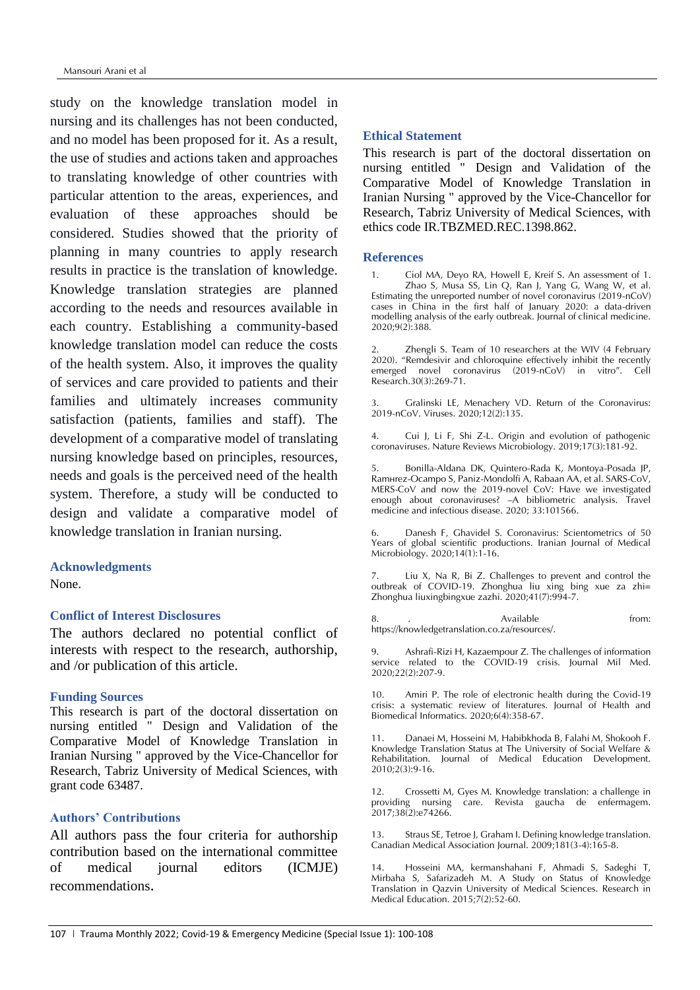study on the knowledge translation model in nursing and its challenges has not been conducted, and no model has been proposed for it. As a result, the use of studies and actions taken and approaches to translating knowledge of other countries with particular attention to the areas, experiences, and evaluation of these approaches should be considered. Studies showed that the priority of planning in many countries to apply research results in practice is the translation of knowledge. Knowledge translation strategies are planned according to the needs and resources available in each country. Establishing a community-based knowledge translation model can reduce the costs of the health system. Also, it improves the quality of services and care provided to patients and their families and ultimately increases community satisfaction (patients, families and staff). The development of a comparative model of translating nursing knowledge based on principles, resources, needs and goals is the perceived need of the health system. Therefore, a study will be conducted to design and validate a comparative model of knowledge translation in Iranian nursing.

## **Acknowledgments**

None.

## **Conflict of Interest Disclosures**

The authors declared no potential conflict of interests with respect to the research, authorship, and /or publication of this article.

## **Funding Sources**

This research is part of the doctoral dissertation on nursing entitled " Design and Validation of the Comparative Model of Knowledge Translation in Iranian Nursing " approved by the Vice-Chancellor for Research, Tabriz University of Medical Sciences, with grant code 63487.

## **Authors' Contributions**

All authors pass the four criteria for authorship contribution based on the international committee of medical journal editors (ICMJE) recommendations.

## **Ethical Statement**

This research is part of the doctoral dissertation on nursing entitled " Design and Validation of the Comparative Model of Knowledge Translation in Iranian Nursing " approved by the Vice-Chancellor for Research, Tabriz University of Medical Sciences, with ethics code IR.TBZMED.REC.1398.862.

#### **References**

1. Ciol MA, Deyo RA, Howell E, Kreif S. An assessment of 1. Zhao S, Musa SS, Lin Q, Ran J, Yang G, Wang W, et al. Estimating the unreported number of novel coronavirus (2019-nCoV) cases in China in the first half of January 2020: a data-driven modelling analysis of the early outbreak. Journal of clinical medicine. 2020;9(2):388.

Zhengli S. Team of 10 researchers at the WIV (4 February 2020). "Remdesivir and chloroquine effectively inhibit the recently emerged novel coronavirus (2019-nCoV) in vitro". Cell Research.30(3):269-71.

3. Gralinski LE, Menachery VD. Return of the Coronavirus: 2019-nCoV. Viruses. 2020;12(2):135.

4. Cui J, Li F, Shi Z-L. Origin and evolution of pathogenic coronaviruses. Nature Reviews Microbiology. 2019;17(3):181-92.

5. Bonilla-Aldana DK, Quintero-Rada K, Montoya-Posada JP, Ramнrez-Ocampo S, Paniz-Mondolfi A, Rabaan AA, et al. SARS-CoV, MERS-CoV and now the 2019-novel CoV: Have we investigated enough about coronaviruses? –A bibliometric analysis. Travel medicine and infectious disease. 2020; 33:101566.

6. Danesh F, Ghavidel S. Coronavirus: Scientometrics of 50 Years of global scientific productions. Iranian Journal of Medical Microbiology. 2020;14(1):1-16.

7. Liu X, Na R, Bi Z. Challenges to prevent and control the outbreak of COVID-19. Zhonghua liu xing bing xue za zhi= Zhonghua liuxingbingxue zazhi. 2020;41(7):994-7.

8. . Available from: https://knowledgetranslation.co.za/resources/.

9. Ashrafi-Rizi H, Kazaempour Z. The challenges of information service related to the COVID-19 crisis. Journal Mil Med. 2020;22(2):207-9.

10. Amiri P. The role of electronic health during the Covid-19 crisis: a systematic review of literatures. Journal of Health and Biomedical Informatics. 2020;6(4):358-67.

11. Danaei M, Hosseini M, Habibkhoda B, Falahi M, Shokooh F. Knowledge Translation Status at The University of Social Welfare & Rehabilitation. Journal of Medical Education Development. 2010;2(3):9-16.

12. Crossetti M, Gyes M. Knowledge translation: a challenge in providing nursing care. Revista gaucha de enfermagem. 2017;38(2):e74266.

13. Straus SE, Tetroe J, Graham I. Defining knowledge translation. Canadian Medical Association Journal. 2009;181(3-4):165-8.

14. Hosseini MA, kermanshahani F, Ahmadi S, Sadeghi T, Mirbaha S, Safarizadeh M. A Study on Status of Knowledge Translation in Qazvin University of Medical Sciences. Research in Medical Education. 2015;7(2):52-60.